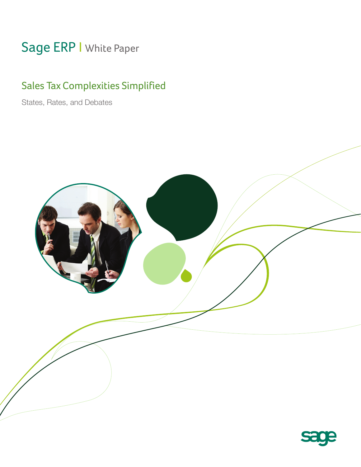# Sage ERP | White Paper

# Sales Tax Complexities Simplified

States, Rates, and Debates



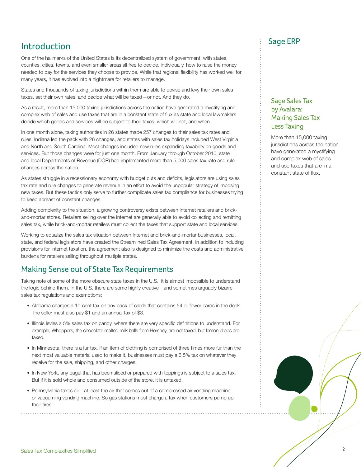# Introduction

One of the hallmarks of the United States is its decentralized system of government, with states, counties, cities, towns, and even smaller areas all free to decide, individually, how to raise the money needed to pay for the services they choose to provide. While that regional flexibility has worked well for many years, it has evolved into a nightmare for retailers to manage.

States and thousands of taxing jurisdictions within them are able to devise and levy their own sales taxes, set their own rates, and decide what will be taxed—or not. And they do.

As a result, more than 15,000 taxing jurisdictions across the nation have generated a mystifying and complex web of sales and use taxes that are in a constant state of flux as state and local lawmakers decide which goods and services will be subject to their taxes, which will not, and when.

In one month alone, taxing authorities in 26 states made 257 changes to their sales tax rates and rules. Indiana led the pack with 26 changes, and states with sales tax holidays included West Virginia and North and South Carolina. Most changes included new rules expanding taxability on goods and services. But those changes were for just one month. From January through October 2010, state and local Departments of Revenue (DOR) had implemented more than 5,000 sales tax rate and rule changes across the nation.

As states struggle in a recessionary economy with budget cuts and deficits, legislators are using sales tax rate and rule changes to generate revenue in an effort to avoid the unpopular strategy of imposing new taxes. But these tactics only serve to further complicate sales tax compliance for businesses trying to keep abreast of constant changes.

Adding complexity to the situation, a growing controversy exists between Internet retailers and brickand-mortar stores. Retailers selling over the Internet are generally able to avoid collecting and remitting sales tax, while brick-and-mortar retailers must collect the taxes that support state and local services.

Working to equalize the sales tax situation between Internet and brick-and-mortar businesses, local, state, and federal legislators have created the Streamlined Sales Tax Agreement. In addition to including provisions for Internet taxation, the agreement also is designed to minimize the costs and administrative burdens for retailers selling throughout multiple states.

### Making Sense out of State Tax Requirements

Taking note of some of the more obscure state taxes in the U.S., it is almost impossible to understand the logic behind them. In the U.S. there are some highly creative—and sometimes arguably bizarre sales tax regulations and exemptions:

- Alabama charges a 10-cent tax on any pack of cards that contains 54 or fewer cards in the deck. The seller must also pay \$1 and an annual tax of \$3.
- Illinois levies a 5% sales tax on candy, where there are very specific definitions to understand. For example, Whoppers, the chocolate malted milk balls from Hershey, are not taxed, but lemon drops are taxed.
- In Minnesota, there is a fur tax. If an item of clothing is comprised of three times more fur than the next most valuable material used to make it, businesses must pay a 6.5% tax on whatever they receive for the sale, shipping, and other charges.
- In New York, any bagel that has been sliced or prepared with toppings is subject to a sales tax. But if it is sold whole and consumed outside of the store, it is untaxed.
- Pennsylvania taxes air—at least the air that comes out of a compressed air vending machine or vacuuming vending machine. So gas stations must charge a tax when customers pump up their tires.

### Sage ERP

#### Sage Sales Tax by Avalara: Making Sales Tax Less Taxing

More than 15,000 taxing jurisdictions across the nation have generated a mystifying and complex web of sales and use taxes that are in a constant state of flux.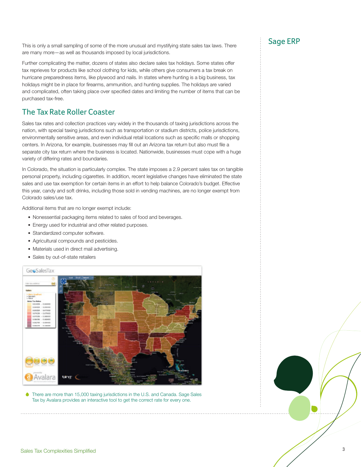This is only a small sampling of some of the more unusual and mystifying state sales tax laws. There are many more—as well as thousands imposed by local jurisdictions.

Further complicating the matter, dozens of states also declare sales tax holidays. Some states offer tax reprieves for products like school clothing for kids, while others give consumers a tax break on hurricane preparedness items, like plywood and nails. In states where hunting is a big business, tax holidays might be in place for firearms, ammunition, and hunting supplies. The holidays are varied and complicated, often taking place over specified dates and limiting the number of items that can be purchased tax-free.

# The Tax Rate Roller Coaster

Sales tax rates and collection practices vary widely in the thousands of taxing jurisdictions across the nation, with special taxing jurisdictions such as transportation or stadium districts, police jurisdictions, environmentally sensitive areas, and even individual retail locations such as specific malls or shopping centers. In Arizona, for example, businesses may fill out an Arizona tax return but also must file a separate city tax return where the business is located. Nationwide, businesses must cope with a huge variety of differing rates and boundaries.

In Colorado, the situation is particularly complex. The state imposes a 2.9 percent sales tax on tangible personal property, including cigarettes. In addition, recent legislative changes have eliminated the state sales and use tax exemption for certain items in an effort to help balance Colorado's budget. Effective this year, candy and soft drinks, including those sold in vending machines, are no longer exempt from Colorado sales/use tax.

Additional items that are no longer exempt include:

- Nonessential packaging items related to sales of food and beverages.
- Energy used for industrial and other related purposes.
- Standardized computer software.
- Agricultural compounds and pesticides.
- Materials used in direct mail advertising.
- Sales by out-of-state retailers



There are more than 15,000 taxing jurisdictions in the U.S. and Canada. Sage Sales Tax by Avalara provides an interactive tool to get the correct rate for every one.

# Sage ERP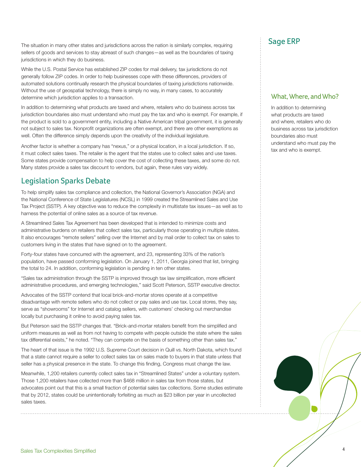The situation in many other states and jurisdictions across the nation is similarly complex, requiring sellers of goods and services to stay abreast of such changes—as well as the boundaries of taxing jurisdictions in which they do business.

While the U.S. Postal Service has established ZIP codes for mail delivery, tax jurisdictions do not generally follow ZIP codes. In order to help businesses cope with these differences, providers of automated solutions continually research the physical boundaries of taxing jurisdictions nationwide. Without the use of geospatial technology, there is simply no way, in many cases, to accurately determine which jurisdiction applies to a transaction.

In addition to determining what products are taxed and where, retailers who do business across tax jurisdiction boundaries also must understand who must pay the tax and who is exempt. For example, if the product is sold to a government entity, including a Native American tribal government, it is generally not subject to sales tax. Nonprofit organizations are often exempt, and there are other exemptions as well. Often the difference simply depends upon the creativity of the individual legislature.

Another factor is whether a company has "nexus," or a physical location, in a local jurisdiction. If so, it must collect sales taxes. The retailer is the agent that the states use to collect sales and use taxes. Some states provide compensation to help cover the cost of collecting these taxes, and some do not. Many states provide a sales tax discount to vendors, but again, these rules vary widely.

## Legislation Sparks Debate

To help simplify sales tax compliance and collection, the National Governor's Association (NGA) and the National Conference of State Legislatures (NCSL) in 1999 created the Streamlined Sales and Use Tax Project (SSTP). A key objective was to reduce the complexity in multistate tax issues—as well as to harness the potential of online sales as a source of tax revenue.

A Streamlined Sales Tax Agreement has been developed that is intended to minimize costs and administrative burdens on retailers that collect sales tax, particularly those operating in multiple states. It also encourages "remote sellers" selling over the Internet and by mail order to collect tax on sales to customers living in the states that have signed on to the agreement.

Forty-four states have concurred with the agreement, and 23, representing 33% of the nation's population, have passed conforming legislation. On January 1, 2011, Georgia joined that list, bringing the total to 24. In addition, conforming legislation is pending in ten other states.

"Sales tax administration through the SSTP is improved through tax law simplification, more efficient administrative procedures, and emerging technologies," said Scott Peterson, SSTP executive director.

Advocates of the SSTP contend that local brick-and-mortar stores operate at a competitive disadvantage with remote sellers who do not collect or pay sales and use tax. Local stores, they say, serve as "showrooms" for Internet and catalog sellers, with customers' checking out merchandise locally but purchasing it online to avoid paying sales tax.

But Peterson said the SSTP changes that. "Brick-and-mortar retailers benefit from the simplified and uniform measures as well as from not having to compete with people outside the state where the sales tax differential exists," he noted. "They can compete on the basis of something other than sales tax."

The heart of that issue is the 1992 U.S. Supreme Court decision in Quill vs. North Dakota, which found that a state cannot require a seller to collect sales tax on sales made to buyers in that state unless that seller has a physical presence in the state. To change this finding, Congress must change the law.

Meanwhile, 1,200 retailers currently collect sales tax in "Streamlined States" under a voluntary system. Those 1,200 retailers have collected more than \$468 million in sales tax from those states, but advocates point out that this is a small fraction of potential sales tax collections. Some studies estimate that by 2012, states could be unintentionally forfeiting as much as \$23 billion per year in uncollected sales taxes.

# Sage ERP

#### What, Where, and Who?

In addition to determining what products are taxed and where, retailers who do business across tax jurisdiction boundaries also must understand who must pay the tax and who is exempt.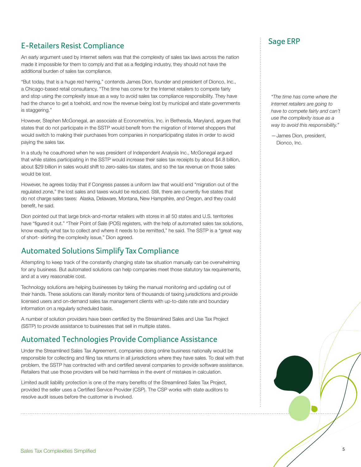# E-Retailers Resist Compliance

An early argument used by Internet sellers was that the complexity of sales tax laws across the nation made it impossible for them to comply and that as a fledgling industry, they should not have the additional burden of sales tax compliance.

"But today, that is a huge red herring," contends James Dion, founder and president of Dionco, Inc., a Chicago-based retail consultancy. "The time has come for the Internet retailers to compete fairly and stop using the complexity issue as a way to avoid sales tax compliance responsibility. They have had the chance to get a toehold, and now the revenue being lost by municipal and state governments is staggering."

However, Stephen McGonegal, an associate at Econometrics, Inc. in Bethesda, Maryland, argues that states that do not participate in the SSTP would benefit from the migration of Internet shoppers that would switch to making their purchases from companies in nonparticipating states in order to avoid paying the sales tax.

In a study he coauthored when he was president of Independent Analysis Inc., McGonegal argued that while states participating in the SSTP would increase their sales tax receipts by about \$4.8 billion, about \$29 billion in sales would shift to zero-sales-tax states, and so the tax revenue on those sales would be lost.

However, he agrees today that if Congress passes a uniform law that would end "migration out of the regulated zone," the lost sales and taxes would be reduced. Still, there are currently five states that do not charge sales taxes: Alaska, Delaware, Montana, New Hampshire, and Oregon, and they could benefit, he said.

Dion pointed out that large brick-and-mortar retailers with stores in all 50 states and U.S. territories have "figured it out." "Their Point of Sale (POS) registers, with the help of automated sales tax solutions, know exactly what tax to collect and where it needs to be remitted," he said. The SSTP is a "great way of short- skirting the complexity issue," Dion agreed.

# Automated Solutions Simplify Tax Compliance

Attempting to keep track of the constantly changing state tax situation manually can be overwhelming for any business. But automated solutions can help companies meet those statutory tax requirements, and at a very reasonable cost.

Technology solutions are helping businesses by taking the manual monitoring and updating out of their hands. These solutions can literally monitor tens of thousands of taxing jurisdictions and provide licensed users and on-demand sales tax management clients with up-to-date rate and boundary information on a regularly scheduled basis.

A number of solution providers have been certified by the Streamlined Sales and Use Tax Project (SSTP) to provide assistance to businesses that sell in multiple states.

## Automated Technologies Provide Compliance Assistance

Under the Streamlined Sales Tax Agreement, companies doing online business nationally would be responsible for collecting and filing tax returns in all jurisdictions where they have sales. To deal with that problem, the SSTP has contracted with and certified several companies to provide software assistance. Retailers that use those providers will be held harmless in the event of mistakes in calculation.

Limited audit liability protection is one of the many benefits of the Streamlined Sales Tax Project, provided the seller uses a Certified Service Provider (CSP). The CSP works with state auditors to resolve audit issues before the customer is involved.

# Sage ERP

*"The time has come where the Internet retailers are going to have to compete fairly and can't use the complexity issue as a way to avoid this responsibility."*

—James Dion, president, Dionco, Inc.

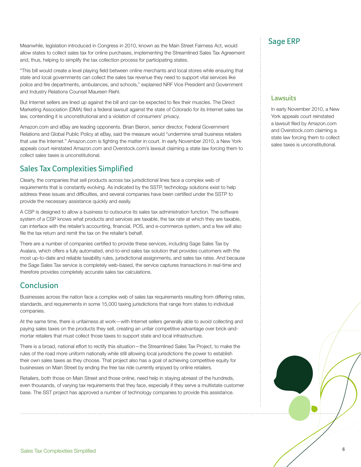Meanwhile, legislation introduced in Congress in 2010, known as the Main Street Fairness Act, would allow states to collect sales tax for online purchases, implementing the Streamlined Sales Tax Agreement and, thus, helping to simplify the tax collection process for participating states.

"This bill would create a level playing field between online merchants and local stores while ensuring that state and local governments can collect the sales tax revenue they need to support vital services like police and fire departments, ambulances, and schools," explained NRF Vice President and Government and Industry Relations Counsel Maureen Riehl.

But Internet sellers are lined up against the bill and can be expected to flex their muscles. The Direct Marketing Association (DMA) filed a federal lawsuit against the state of Colorado for its Internet sales tax law, contending it is unconstitutional and a violation of consumers' privacy.

Amazon.com and eBay are leading opponents. Brian Bieron, senior director, Federal Government Relations and Global Public Policy at eBay, said the measure would "undermine small business retailers that use the Internet." Amazon.com is fighting the matter in court. In early November 2010, a New York appeals court reinstated Amazon.com and Overstock.com's lawsuit claiming a state law forcing them to collect sales taxes is unconstitutional.

# Sales Tax Complexities Simplified

Clearly, the companies that sell products across tax jurisdictional lines face a complex web of requirements that is constantly evolving. As indicated by the SSTP, technology solutions exist to help address these issues and difficulties, and several companies have been certified under the SSTP to provide the necessary assistance quickly and easily.

A CSP is designed to allow a business to outsource its sales tax administration function. The software system of a CSP knows what products and services are taxable, the tax rate at which they are taxable, can interface with the retailer's accounting, financial, POS, and e-commerce system, and a few will also file the tax return and remit the tax on the retailer's behalf.

There are a number of companies certified to provide these services, including Sage Sales Tax by Avalara, which offers a fully automated, end-to-end sales tax solution that provides customers with the most up-to-date and reliable taxability rules, jurisdictional assignments, and sales tax rates. And because the Sage Sales Tax service is completely web-based, the service captures transactions in real-time and therefore provides completely accurate sales tax calculations.

## Conclusion

Businesses across the nation face a complex web of sales tax requirements resulting from differing rates, standards, and requirements in some 15,000 taxing jurisdictions that range from states to individual companies.

At the same time, there is unfairness at work—with Internet sellers generally able to avoid collecting and paying sales taxes on the products they sell, creating an unfair competitive advantage over brick-andmortar retailers that must collect those taxes to support state and local infrastructure.

There is a broad, national effort to rectify this situation—the Streamlined Sales Tax Project, to make the rules of the road more uniform nationally while still allowing local jurisdictions the power to establish their own sales taxes as they choose. That project also has a goal of achieving competitive equity for businesses on Main Street by ending the free tax ride currently enjoyed by online retailers.

Retailers, both those on Main Street and those online, need help in staying abreast of the hundreds, even thousands, of varying tax requirements that they face, especially if they serve a multistate customer base. The SST project has approved a number of technology companies to provide this assistance.

# Sage ERP

#### **Lawsuits**

In early November 2010, a New York appeals court reinstated a lawsuit filed by Amazon.com and Overstock.com claiming a state law forcing them to collect sales taxes is unconstitutional.